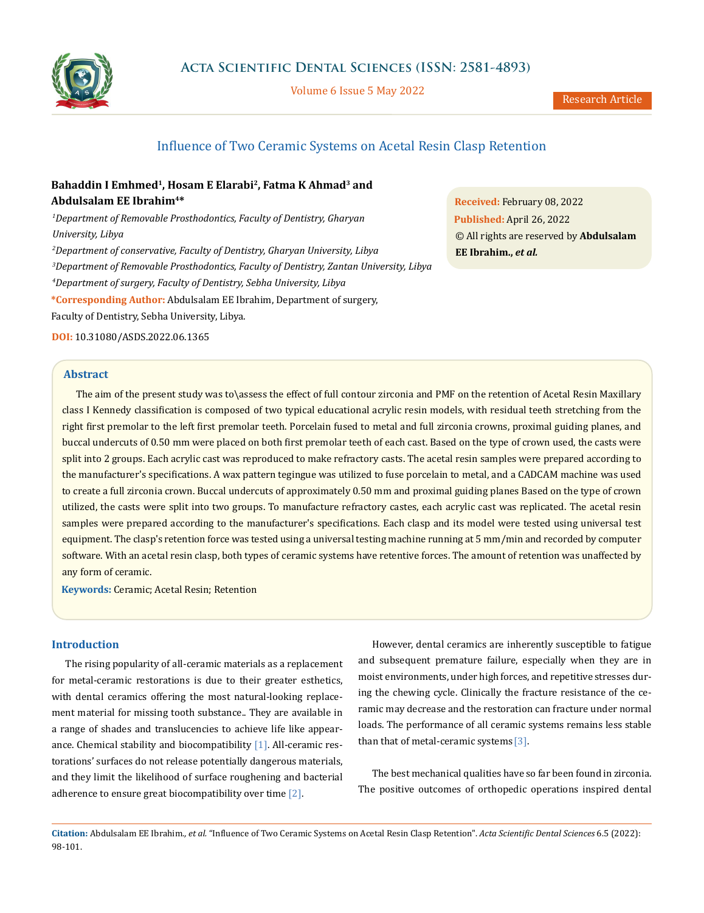

Volume 6 Issue 5 May 2022

# Influence of Two Ceramic Systems on Acetal Resin Clasp Retention

# **Bahaddin I Emhmed1, Hosam E Elarabi2, Fatma K Ahmad3 and Abdulsalam EE Ibrahim4\***

 *Department of Removable Prosthodontics, Faculty of Dentistry, Gharyan University, Libya Department of conservative, Faculty of Dentistry, Gharyan University, Libya Department of Removable Prosthodontics, Faculty of Dentistry, Zantan University, Libya*

*4 Department of surgery, Faculty of Dentistry, Sebha University, Libya*

**\*Corresponding Author:** Abdulsalam EE Ibrahim, Department of surgery,

Faculty of Dentistry, Sebha University, Libya.

**DOI:** [10.31080/ASDS.2022.06.1365](https://actascientific.com/ASDS/pdf/ASDS-06-1365.pdf)

## **Abstract**

The aim of the present study was to\assess the effect of full contour zirconia and PMF on the retention of Acetal Resin Maxillary class I Kennedy classification is composed of two typical educational acrylic resin models, with residual teeth stretching from the right first premolar to the left first premolar teeth. Porcelain fused to metal and full zirconia crowns, proximal guiding planes, and buccal undercuts of 0.50 mm were placed on both first premolar teeth of each cast. Based on the type of crown used, the casts were split into 2 groups. Each acrylic cast was reproduced to make refractory casts. The acetal resin samples were prepared according to the manufacturer's specifications. A wax pattern tegingue was utilized to fuse porcelain to metal, and a CADCAM machine was used to create a full zirconia crown. Buccal undercuts of approximately 0.50 mm and proximal guiding planes Based on the type of crown utilized, the casts were split into two groups. To manufacture refractory castes, each acrylic cast was replicated. The acetal resin samples were prepared according to the manufacturer's specifications. Each clasp and its model were tested using universal test equipment. The clasp's retention force was tested using a universal testing machine running at 5 mm/min and recorded by computer software. With an acetal resin clasp, both types of ceramic systems have retentive forces. The amount of retention was unaffected by any form of ceramic.

**Keywords:** Ceramic; Acetal Resin; Retention

## **Introduction**

The rising popularity of all-ceramic materials as a replacement for metal-ceramic restorations is due to their greater esthetics, with dental ceramics offering the most natural-looking replacement material for missing tooth substance.. They are available in a range of shades and translucencies to achieve life like appearance. Chemical stability and biocompatibility  $[1]$ . All-ceramic restorations' surfaces do not release potentially dangerous materials, and they limit the likelihood of surface roughening and bacterial adherence to ensure great biocompatibility over time [2].

However, dental ceramics are inherently susceptible to fatigue and subsequent premature failure, especially when they are in moist environments, under high forces, and repetitive stresses during the chewing cycle. Clinically the fracture resistance of the ceramic may decrease and the restoration can fracture under normal loads. The performance of all ceramic systems remains less stable than that of metal-ceramic systems  $[3]$ .

The best mechanical qualities have so far been found in zirconia. The positive outcomes of orthopedic operations inspired dental

**Citation:** Abdulsalam EE Ibrahim*., et al.* "Influence of Two Ceramic Systems on Acetal Resin Clasp Retention". *Acta Scientific Dental Sciences* 6.5 (2022): 98-101.

**Received:** February 08, 2022 **Published:** April 26, 2022 © All rights are reserved by **Abdulsalam EE Ibrahim.,** *et al.*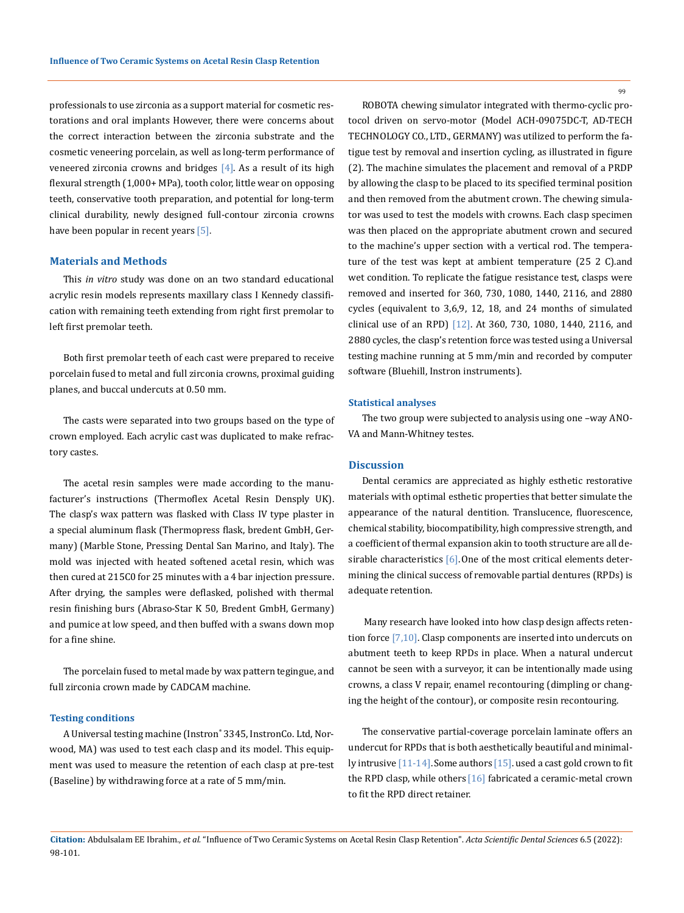professionals to use zirconia as a support material for cosmetic restorations and oral implants However, there were concerns about the correct interaction between the zirconia substrate and the cosmetic veneering porcelain, as well as long-term performance of veneered zirconia crowns and bridges  $[4]$ . As a result of its high flexural strength (1,000+ MPa), tooth color, little wear on opposing teeth, conservative tooth preparation, and potential for long-term clinical durability, newly designed full-contour zirconia crowns have been popular in recent years [5].

### **Materials and Methods**

This *in vitro* study was done on an two standard educational acrylic resin models represents maxillary class I Kennedy classification with remaining teeth extending from right first premolar to left first premolar teeth.

Both first premolar teeth of each cast were prepared to receive porcelain fused to metal and full zirconia crowns, proximal guiding planes, and buccal undercuts at 0.50 mm.

The casts were separated into two groups based on the type of crown employed. Each acrylic cast was duplicated to make refractory castes.

The acetal resin samples were made according to the manufacturer's instructions (Thermoflex Acetal Resin Densply UK). The clasp's wax pattern was flasked with Class IV type plaster in a special aluminum flask (Thermopress flask, bredent GmbH, Germany) (Marble Stone, Pressing Dental San Marino, and Italy). The mold was injected with heated softened acetal resin, which was then cured at 215C0 for 25 minutes with a 4 bar injection pressure. After drying, the samples were deflasked, polished with thermal resin finishing burs (Abraso-Star K 50, Bredent GmbH, Germany) and pumice at low speed, and then buffed with a swans down mop for a fine shine.

The porcelain fused to metal made by wax pattern tegingue, and full zirconia crown made by CADCAM machine.

## **Testing conditions**

A Universal testing machine (Instron® 3345, InstronCo. Ltd, Norwood, MA) was used to test each clasp and its model. This equipment was used to measure the retention of each clasp at pre-test (Baseline) by withdrawing force at a rate of 5 mm/min.

ROBOTA chewing simulator integrated with thermo-cyclic protocol driven on servo-motor (Model ACH-09075DC-T, AD-TECH TECHNOLOGY CO., LTD., GERMANY) was utilized to perform the fatigue test by removal and insertion cycling, as illustrated in figure (2). The machine simulates the placement and removal of a PRDP by allowing the clasp to be placed to its specified terminal position and then removed from the abutment crown. The chewing simulator was used to test the models with crowns. Each clasp specimen was then placed on the appropriate abutment crown and secured to the machine's upper section with a vertical rod. The temperature of the test was kept at ambient temperature (25 2 C).and wet condition. To replicate the fatigue resistance test, clasps were removed and inserted for 360, 730, 1080, 1440, 2116, and 2880 cycles (equivalent to 3,6,9, 12, 18, and 24 months of simulated clinical use of an RPD) [12]. At 360, 730, 1080, 1440, 2116, and 2880 cycles, the clasp's retention force was tested using a Universal testing machine running at 5 mm/min and recorded by computer software (Bluehill, Instron instruments).

#### **Statistical analyses**

The two group were subjected to analysis using one –way ANO-VA and Mann-Whitney testes.

### **Discussion**

Dental ceramics are appreciated as highly esthetic restorative materials with optimal esthetic properties that better simulate the appearance of the natural dentition. Translucence, fluorescence, chemical stability, biocompatibility, high compressive strength, and a coefficient of thermal expansion akin to tooth structure are all desirable characteristics  $[6]$ . One of the most critical elements determining the clinical success of removable partial dentures (RPDs) is adequate retention.

 Many research have looked into how clasp design affects retention force [7,10]. Clasp components are inserted into undercuts on abutment teeth to keep RPDs in place. When a natural undercut cannot be seen with a surveyor, it can be intentionally made using crowns, a class V repair, enamel recontouring (dimpling or changing the height of the contour), or composite resin recontouring.

The conservative partial-coverage porcelain laminate offers an undercut for RPDs that is both aesthetically beautiful and minimally intrusive  $[11-14]$ . Some authors  $[15]$ . used a cast gold crown to fit the RPD clasp, while others [16] fabricated a ceramic-metal crown to fit the RPD direct retainer.

**Citation:** Abdulsalam EE Ibrahim*., et al.* "Influence of Two Ceramic Systems on Acetal Resin Clasp Retention". *Acta Scientific Dental Sciences* 6.5 (2022): 98-101.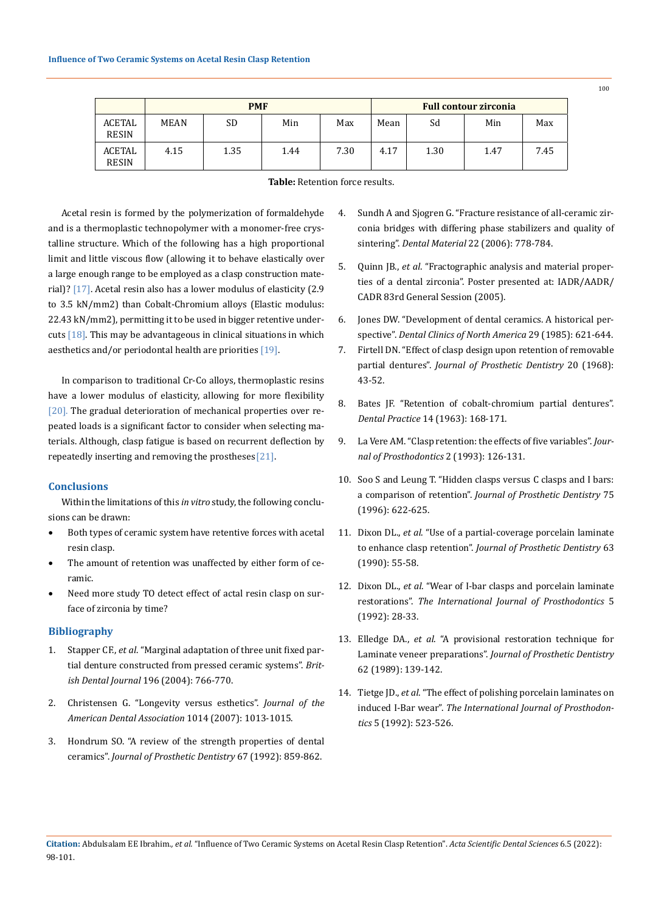|                        | <b>PMF</b>  |      |      |      | <b>Full contour zirconia</b> |      |      |      |
|------------------------|-------------|------|------|------|------------------------------|------|------|------|
| ACETAL<br><b>RESIN</b> | <b>MEAN</b> | SD   | Min  | Max  | Mean                         | Sd   | Min  | Max  |
| ACETAL<br><b>RESIN</b> | 4.15        | 1.35 | 1.44 | 7.30 | 4.17                         | 1.30 | 1.47 | 7.45 |

## **Table:** Retention force results.

Acetal resin is formed by the polymerization of formaldehyde and is a thermoplastic technopolymer with a monomer-free crystalline structure. Which of the following has a high proportional limit and little viscous flow (allowing it to behave elastically over a large enough range to be employed as a clasp construction material)? [17]. Acetal resin also has a lower modulus of elasticity (2.9 to 3.5 kN/mm2) than Cobalt-Chromium alloys (Elastic modulus: 22.43 kN/mm2), permitting it to be used in bigger retentive undercuts [18]. This may be advantageous in clinical situations in which aesthetics and/or periodontal health are priorities [19].

In comparison to traditional Cr-Co alloys, thermoplastic resins have a lower modulus of elasticity, allowing for more flexibility [20]. The gradual deterioration of mechanical properties over repeated loads is a significant factor to consider when selecting materials. Although, clasp fatigue is based on recurrent deflection by repeatedly inserting and removing the prostheses [21].

## **Conclusions**

Within the limitations of this *in vitro* study, the following conclusions can be drawn:

- Both types of ceramic system have retentive forces with acetal resin clasp.
- The amount of retention was unaffected by either form of ceramic.
- Need more study TO detect effect of actal resin clasp on surface of zirconia by time?

## **Bibliography**

- 1. Stapper CF., *et al*[. "Marginal adaptation of three unit fixed par](https://pubmed.ncbi.nlm.nih.gov/15220983/)[tial denture constructed from pressed ceramic systems".](https://pubmed.ncbi.nlm.nih.gov/15220983/) *British Dental Journal* [196 \(2004\): 766-770.](https://pubmed.ncbi.nlm.nih.gov/15220983/)
- 2. [Christensen G. "Longevity versus esthetics".](https://jada.ada.org/article/S0002-8177(14)62429-6/fulltext) *Journal of the [American Dental Association](https://jada.ada.org/article/S0002-8177(14)62429-6/fulltext)* 1014 (2007): 1013-1015.
- 3. [Hondrum SO. "A review of the strength properties of dental](https://pubmed.ncbi.nlm.nih.gov/1403879/)  ceramics". *[Journal of Prosthetic Dentistry](https://pubmed.ncbi.nlm.nih.gov/1403879/)* 67 (1992): 859-862.
- 4. [Sundh A and Sjogren G. "Fracture resistance of all-ceramic zir](https://pubmed.ncbi.nlm.nih.gov/16414111/)[conia bridges with differing phase stabilizers and quality of](https://pubmed.ncbi.nlm.nih.gov/16414111/)  sintering". *Dental Material* [22 \(2006\): 778-784.](https://pubmed.ncbi.nlm.nih.gov/16414111/)
- 5. Quinn JB., *et al*[. "Fractographic analysis and material proper](https://www.ncbi.nlm.nih.gov/pmc/articles/PMC3086638/)[ties of a dental zirconia". Poster presented at: IADR/AADR/](https://www.ncbi.nlm.nih.gov/pmc/articles/PMC3086638/) [CADR 83rd General Session \(2005\).](https://www.ncbi.nlm.nih.gov/pmc/articles/PMC3086638/)
- 6. [Jones DW. "Development of dental ceramics. A historical per](https://pubmed.ncbi.nlm.nih.gov/3908157/)spective". *[Dental Clinics of North America](https://pubmed.ncbi.nlm.nih.gov/3908157/)* 29 (1985): 621-644.
- 7. [Firtell DN. "Effect of clasp design upon retention of removable](https://www.sciencedirect.com/science/article/abs/pii/0022391368902114)  partial dentures". *[Journal of Prosthetic Dentistry](https://www.sciencedirect.com/science/article/abs/pii/0022391368902114)* 20 (1968): [43-52.](https://www.sciencedirect.com/science/article/abs/pii/0022391368902114)
- 8. Bates JF. "Retention of cobalt-chromium partial dentures". *Dental Practice* 14 (1963): 168-171.
- 9. [La Vere AM. "Clasp retention: the effects of five variables".](https://pubmed.ncbi.nlm.nih.gov/8242166/) *Jour[nal of Prosthodontics](https://pubmed.ncbi.nlm.nih.gov/8242166/)* 2 (1993): 126-131.
- 10. [Soo S and Leung T. "Hidden clasps versus C clasps and I bars:](https://pubmed.ncbi.nlm.nih.gov/8725837/)  a comparison of retention". *[Journal of Prosthetic Dentistry](https://pubmed.ncbi.nlm.nih.gov/8725837/)* 75 [\(1996\): 622-625.](https://pubmed.ncbi.nlm.nih.gov/8725837/)
- 11. Dixon DL., *et al*[. "Use of a partial-coverage porcelain laminate](https://pubmed.ncbi.nlm.nih.gov/2404108/)  to enhance clasp retention". *[Journal of Prosthetic Dentistry](https://pubmed.ncbi.nlm.nih.gov/2404108/)* 63 [\(1990\): 55-58.](https://pubmed.ncbi.nlm.nih.gov/2404108/)
- 12. Dixon DL., *et al*[. "Wear of I-bar clasps and porcelain laminate](https://pubmed.ncbi.nlm.nih.gov/1520440/)  restorations". *[The International Journal of Prosthodontics](https://pubmed.ncbi.nlm.nih.gov/1520440/)* 5 [\(1992\): 28-33.](https://pubmed.ncbi.nlm.nih.gov/1520440/)
- 13. Elledge DA., *et al*[. "A provisional restoration technique for](https://pubmed.ncbi.nlm.nih.gov/2668507/)  Laminate veneer preparations". *[Journal of Prosthetic Dentistry](https://pubmed.ncbi.nlm.nih.gov/2668507/)*  [62 \(1989\): 139-142.](https://pubmed.ncbi.nlm.nih.gov/2668507/)
- 14. Tietge JD., *et al*[. "The effect of polishing porcelain laminates on](https://pubmed.ncbi.nlm.nih.gov/1307011/)  induced I-Bar wear". *[The International Journal of Prosthodon](https://pubmed.ncbi.nlm.nih.gov/1307011/)tics* [5 \(1992\): 523-526.](https://pubmed.ncbi.nlm.nih.gov/1307011/)

100